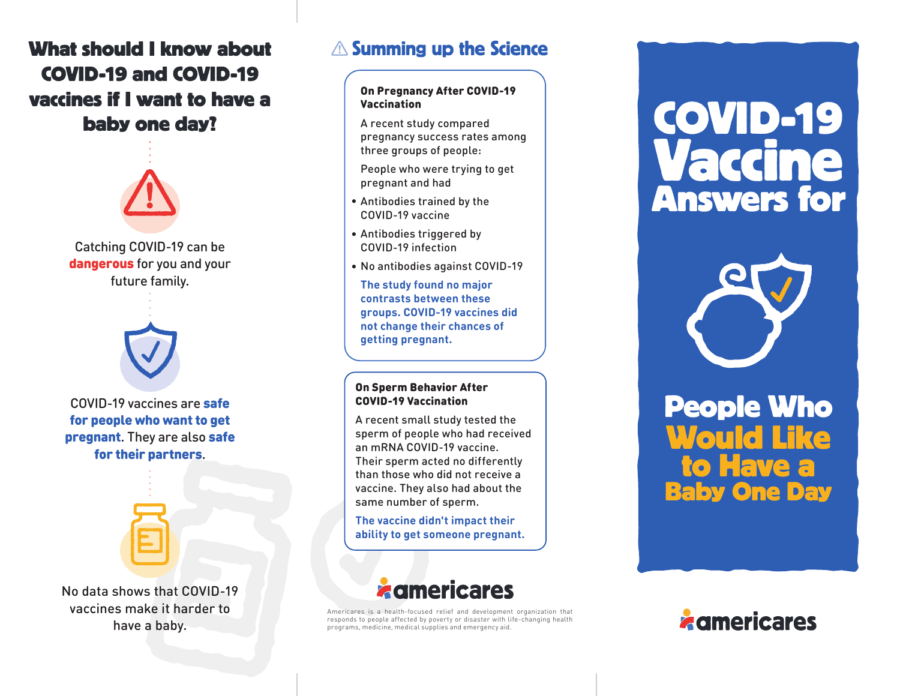# **What should I know about COVID-19 and COVID-19 vaccines if I want to have a baby one day?**



Catching COVID-19 can be dangerous for you and your future family.



COVID-19 vaccines are safe for people who want to get pregnant. They are also safe for their partners.



No data shows that COVID-19 vaccines make it harder to have a baby.

## $\triangle$  Summing up the Science

### On Pregnancy After COVID-19 Vaccination

A recent study compared pregnancy success rates among three groups of people:

People who were trying to get pregnant and had

- Antibodies trained by the **•** COVID-19 vaccine
- Antibodies triggered by **•** COVID-19 infection
- No antibodies against COVID-19 **•**

**The study found no major contrasts between these groups. COVID-19 vaccines did not change their chances of getting pregnant.**

#### On Sperm Behavior After COVID-19 Vaccination

A recent small study tested the sperm of people who had received an mRNA COVID-19 vaccine. Their sperm acted no differently than those who did not receive a vaccine. They also had about the same number of sperm.

**The vaccine didn't impact their ability to get someone pregnant.**



Americares is a health-focused relief and development organization that responds to people affected by poverty or disaster with life-changing health programs, medicine, medical supplies and emergency aid.

# **COVID-19 Vaccine Answers for**



**to Have a Baby One Day People Who Would Like**